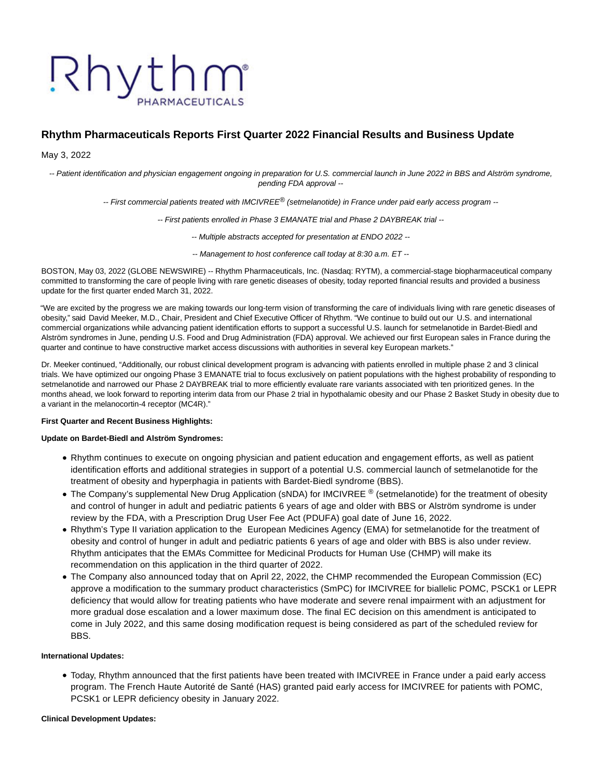# Rhythm PHARMACEUTICALS

# **Rhythm Pharmaceuticals Reports First Quarter 2022 Financial Results and Business Update**

# May 3, 2022

-- Patient identification and physician engagement ongoing in preparation for U.S. commercial launch in June 2022 in BBS and Alström syndrome, pending FDA approval --

-- First commercial patients treated with IMCIVREE® (setmelanotide) in France under paid early access program --

-- First patients enrolled in Phase 3 EMANATE trial and Phase 2 DAYBREAK trial --

-- Multiple abstracts accepted for presentation at ENDO 2022 --

-- Management to host conference call today at 8:30 a.m. ET --

BOSTON, May 03, 2022 (GLOBE NEWSWIRE) -- Rhythm Pharmaceuticals, Inc. (Nasdaq: RYTM), a commercial-stage biopharmaceutical company committed to transforming the care of people living with rare genetic diseases of obesity, today reported financial results and provided a business update for the first quarter ended March 31, 2022.

"We are excited by the progress we are making towards our long-term vision of transforming the care of individuals living with rare genetic diseases of obesity," said David Meeker, M.D., Chair, President and Chief Executive Officer of Rhythm. "We continue to build out our U.S. and international commercial organizations while advancing patient identification efforts to support a successful U.S. launch for setmelanotide in Bardet-Biedl and Alström syndromes in June, pending U.S. Food and Drug Administration (FDA) approval. We achieved our first European sales in France during the quarter and continue to have constructive market access discussions with authorities in several key European markets."

Dr. Meeker continued, "Additionally, our robust clinical development program is advancing with patients enrolled in multiple phase 2 and 3 clinical trials. We have optimized our ongoing Phase 3 EMANATE trial to focus exclusively on patient populations with the highest probability of responding to setmelanotide and narrowed our Phase 2 DAYBREAK trial to more efficiently evaluate rare variants associated with ten prioritized genes. In the months ahead, we look forward to reporting interim data from our Phase 2 trial in hypothalamic obesity and our Phase 2 Basket Study in obesity due to a variant in the melanocortin-4 receptor (MC4R)."

#### **First Quarter and Recent Business Highlights:**

#### **Update on Bardet-Biedl and Alström Syndromes:**

- Rhythm continues to execute on ongoing physician and patient education and engagement efforts, as well as patient identification efforts and additional strategies in support of a potential U.S. commercial launch of setmelanotide for the treatment of obesity and hyperphagia in patients with Bardet-Biedl syndrome (BBS).
- The Company's supplemental New Drug Application (sNDA) for IMCIVREE ® (setmelanotide) for the treatment of obesity and control of hunger in adult and pediatric patients 6 years of age and older with BBS or Alström syndrome is under review by the FDA, with a Prescription Drug User Fee Act (PDUFA) goal date of June 16, 2022.
- Rhythm's Type II variation application to the European Medicines Agency (EMA) for setmelanotide for the treatment of obesity and control of hunger in adult and pediatric patients 6 years of age and older with BBS is also under review. Rhythm anticipates that the EMA's Committee for Medicinal Products for Human Use (CHMP) will make its recommendation on this application in the third quarter of 2022.
- The Company also announced today that on April 22, 2022, the CHMP recommended the European Commission (EC) approve a modification to the summary product characteristics (SmPC) for IMCIVREE for biallelic POMC, PSCK1 or LEPR deficiency that would allow for treating patients who have moderate and severe renal impairment with an adjustment for more gradual dose escalation and a lower maximum dose. The final EC decision on this amendment is anticipated to come in July 2022, and this same dosing modification request is being considered as part of the scheduled review for BBS.

### **International Updates:**

Today, Rhythm announced that the first patients have been treated with IMCIVREE in France under a paid early access program. The French Haute Autorité de Santé (HAS) granted paid early access for IMCIVREE for patients with POMC, PCSK1 or LEPR deficiency obesity in January 2022.

#### **Clinical Development Updates:**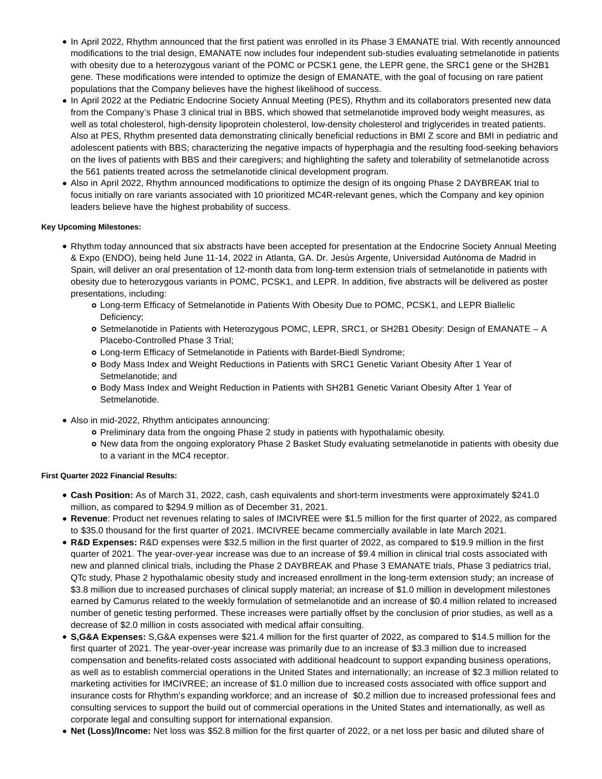- In April 2022, Rhythm announced that the first patient was enrolled in its Phase 3 EMANATE trial. With recently announced modifications to the trial design, EMANATE now includes four independent sub-studies evaluating setmelanotide in patients with obesity due to a heterozygous variant of the POMC or PCSK1 gene, the LEPR gene, the SRC1 gene or the SH2B1 gene. These modifications were intended to optimize the design of EMANATE, with the goal of focusing on rare patient populations that the Company believes have the highest likelihood of success.
- In April 2022 at the Pediatric Endocrine Society Annual Meeting (PES), Rhythm and its collaborators presented new data from the Company's Phase 3 clinical trial in BBS, which showed that setmelanotide improved body weight measures, as well as total cholesterol, high-density lipoprotein cholesterol, low-density cholesterol and triglycerides in treated patients. Also at PES, Rhythm presented data demonstrating clinically beneficial reductions in BMI Z score and BMI in pediatric and adolescent patients with BBS; characterizing the negative impacts of hyperphagia and the resulting food-seeking behaviors on the lives of patients with BBS and their caregivers; and highlighting the safety and tolerability of setmelanotide across the 561 patients treated across the setmelanotide clinical development program.
- Also in April 2022, Rhythm announced modifications to optimize the design of its ongoing Phase 2 DAYBREAK trial to focus initially on rare variants associated with 10 prioritized MC4R-relevant genes, which the Company and key opinion leaders believe have the highest probability of success.

# **Key Upcoming Milestones:**

- Rhythm today announced that six abstracts have been accepted for presentation at the Endocrine Society Annual Meeting & Expo (ENDO), being held June 11-14, 2022 in Atlanta, GA. Dr. Jesús Argente, Universidad Autónoma de Madrid in Spain, will deliver an oral presentation of 12-month data from long-term extension trials of setmelanotide in patients with obesity due to heterozygous variants in POMC, PCSK1, and LEPR. In addition, five abstracts will be delivered as poster presentations, including:
	- Long-term Efficacy of Setmelanotide in Patients With Obesity Due to POMC, PCSK1, and LEPR Biallelic Deficiency;
	- o Setmelanotide in Patients with Heterozygous POMC, LEPR, SRC1, or SH2B1 Obesity: Design of EMANATE A Placebo-Controlled Phase 3 Trial;
	- Long-term Efficacy of Setmelanotide in Patients with Bardet-Biedl Syndrome;
	- Body Mass Index and Weight Reductions in Patients with SRC1 Genetic Variant Obesity After 1 Year of Setmelanotide; and
	- Body Mass Index and Weight Reduction in Patients with SH2B1 Genetic Variant Obesity After 1 Year of Setmelanotide.
- Also in mid-2022, Rhythm anticipates announcing:
	- o Preliminary data from the ongoing Phase 2 study in patients with hypothalamic obesity.
	- New data from the ongoing exploratory Phase 2 Basket Study evaluating setmelanotide in patients with obesity due to a variant in the MC4 receptor.

# **First Quarter 2022 Financial Results:**

- **Cash Position:** As of March 31, 2022, cash, cash equivalents and short-term investments were approximately \$241.0 million, as compared to \$294.9 million as of December 31, 2021.
- **Revenue**: Product net revenues relating to sales of IMCIVREE were \$1.5 million for the first quarter of 2022, as compared to \$35.0 thousand for the first quarter of 2021. IMCIVREE became commercially available in late March 2021.
- **R&D Expenses:** R&D expenses were \$32.5 million in the first quarter of 2022, as compared to \$19.9 million in the first quarter of 2021. The year-over-year increase was due to an increase of \$9.4 million in clinical trial costs associated with new and planned clinical trials, including the Phase 2 DAYBREAK and Phase 3 EMANATE trials, Phase 3 pediatrics trial, QTc study, Phase 2 hypothalamic obesity study and increased enrollment in the long-term extension study; an increase of \$3.8 million due to increased purchases of clinical supply material; an increase of \$1.0 million in development milestones earned by Camurus related to the weekly formulation of setmelanotide and an increase of \$0.4 million related to increased number of genetic testing performed. These increases were partially offset by the conclusion of prior studies, as well as a decrease of \$2.0 million in costs associated with medical affair consulting.
- **S,G&A Expenses:** S,G&A expenses were \$21.4 million for the first quarter of 2022, as compared to \$14.5 million for the first quarter of 2021. The year-over-year increase was primarily due to an increase of \$3.3 million due to increased compensation and benefits-related costs associated with additional headcount to support expanding business operations, as well as to establish commercial operations in the United States and internationally; an increase of \$2.3 million related to marketing activities for IMCIVREE; an increase of \$1.0 million due to increased costs associated with office support and insurance costs for Rhythm's expanding workforce; and an increase of \$0.2 million due to increased professional fees and consulting services to support the build out of commercial operations in the United States and internationally, as well as corporate legal and consulting support for international expansion.
- **Net (Loss)/Income:** Net loss was \$52.8 million for the first quarter of 2022, or a net loss per basic and diluted share of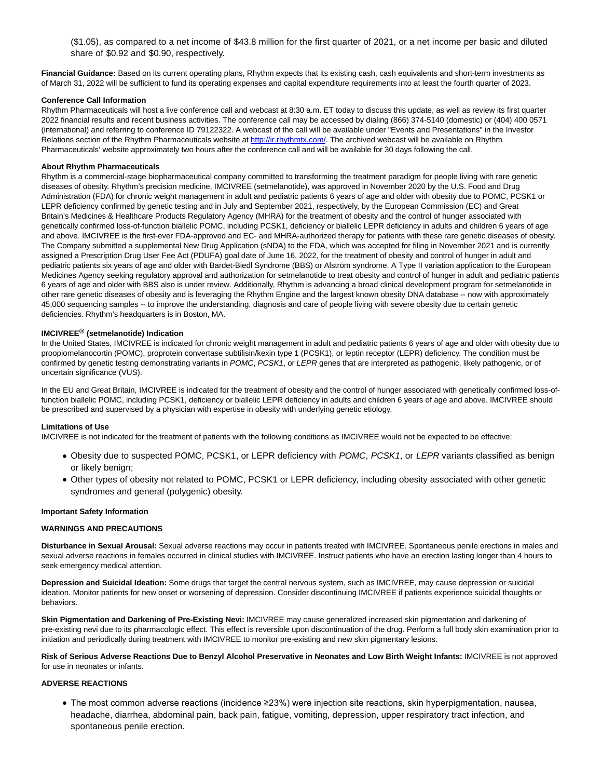(\$1.05), as compared to a net income of \$43.8 million for the first quarter of 2021, or a net income per basic and diluted share of \$0.92 and \$0.90, respectively.

**Financial Guidance:** Based on its current operating plans, Rhythm expects that its existing cash, cash equivalents and short-term investments as of March 31, 2022 will be sufficient to fund its operating expenses and capital expenditure requirements into at least the fourth quarter of 2023.

#### **Conference Call Information**

Rhythm Pharmaceuticals will host a live conference call and webcast at 8:30 a.m. ET today to discuss this update, as well as review its first quarter 2022 financial results and recent business activities. The conference call may be accessed by dialing (866) 374-5140 (domestic) or (404) 400 0571 (international) and referring to conference ID 79122322. A webcast of the call will be available under "Events and Presentations" in the Investor Relations section of the Rhythm Pharmaceuticals website a[t http://ir.rhythmtx.com/.](https://www.globenewswire.com/Tracker?data=WZykYwn_lY_yn8pkM1EqeNnvUOEDPkbOHYwYHXPneu0CoFcc6sl7tH7kXkDo5BcFn3XSrk15XUcrgJGyhd3G7Gv3upm0isbW82aI9zNij2Q=) The archived webcast will be available on Rhythm Pharmaceuticals' website approximately two hours after the conference call and will be available for 30 days following the call.

#### **About Rhythm Pharmaceuticals**

Rhythm is a commercial-stage biopharmaceutical company committed to transforming the treatment paradigm for people living with rare genetic diseases of obesity. Rhythm's precision medicine, IMCIVREE (setmelanotide), was approved in November 2020 by the U.S. Food and Drug Administration (FDA) for chronic weight management in adult and pediatric patients 6 years of age and older with obesity due to POMC, PCSK1 or LEPR deficiency confirmed by genetic testing and in July and September 2021, respectively, by the European Commission (EC) and Great Britain's Medicines & Healthcare Products Regulatory Agency (MHRA) for the treatment of obesity and the control of hunger associated with genetically confirmed loss-of-function biallelic POMC, including PCSK1, deficiency or biallelic LEPR deficiency in adults and children 6 years of age and above. IMCIVREE is the first-ever FDA-approved and EC- and MHRA-authorized therapy for patients with these rare genetic diseases of obesity. The Company submitted a supplemental New Drug Application (sNDA) to the FDA, which was accepted for filing in November 2021 and is currently assigned a Prescription Drug User Fee Act (PDUFA) goal date of June 16, 2022, for the treatment of obesity and control of hunger in adult and pediatric patients six years of age and older with Bardet-Biedl Syndrome (BBS) or Alström syndrome. A Type II variation application to the European Medicines Agency seeking regulatory approval and authorization for setmelanotide to treat obesity and control of hunger in adult and pediatric patients 6 years of age and older with BBS also is under review. Additionally, Rhythm is advancing a broad clinical development program for setmelanotide in other rare genetic diseases of obesity and is leveraging the Rhythm Engine and the largest known obesity DNA database -- now with approximately 45,000 sequencing samples -- to improve the understanding, diagnosis and care of people living with severe obesity due to certain genetic deficiencies. Rhythm's headquarters is in Boston, MA.

#### **IMCIVREE® (setmelanotide) Indication**

In the United States, IMCIVREE is indicated for chronic weight management in adult and pediatric patients 6 years of age and older with obesity due to proopiomelanocortin (POMC), proprotein convertase subtilisin/kexin type 1 (PCSK1), or leptin receptor (LEPR) deficiency. The condition must be confirmed by genetic testing demonstrating variants in POMC, PCSK1, or LEPR genes that are interpreted as pathogenic, likely pathogenic, or of uncertain significance (VUS).

In the EU and Great Britain, IMCIVREE is indicated for the treatment of obesity and the control of hunger associated with genetically confirmed loss-offunction biallelic POMC, including PCSK1, deficiency or biallelic LEPR deficiency in adults and children 6 years of age and above. IMCIVREE should be prescribed and supervised by a physician with expertise in obesity with underlying genetic etiology.

## **Limitations of Use**

IMCIVREE is not indicated for the treatment of patients with the following conditions as IMCIVREE would not be expected to be effective:

- Obesity due to suspected POMC, PCSK1, or LEPR deficiency with POMC, PCSK1, or LEPR variants classified as benign or likely benign;
- Other types of obesity not related to POMC, PCSK1 or LEPR deficiency, including obesity associated with other genetic syndromes and general (polygenic) obesity.

#### **Important Safety Information**

#### **WARNINGS AND PRECAUTIONS**

**Disturbance in Sexual Arousal:** Sexual adverse reactions may occur in patients treated with IMCIVREE. Spontaneous penile erections in males and sexual adverse reactions in females occurred in clinical studies with IMCIVREE. Instruct patients who have an erection lasting longer than 4 hours to seek emergency medical attention.

**Depression and Suicidal Ideation:** Some drugs that target the central nervous system, such as IMCIVREE, may cause depression or suicidal ideation. Monitor patients for new onset or worsening of depression. Consider discontinuing IMCIVREE if patients experience suicidal thoughts or behaviors.

**Skin Pigmentation and Darkening of Pre-Existing Nevi:** IMCIVREE may cause generalized increased skin pigmentation and darkening of pre-existing nevi due to its pharmacologic effect. This effect is reversible upon discontinuation of the drug. Perform a full body skin examination prior to initiation and periodically during treatment with IMCIVREE to monitor pre-existing and new skin pigmentary lesions.

**Risk of Serious Adverse Reactions Due to Benzyl Alcohol Preservative in Neonates and Low Birth Weight Infants:** IMCIVREE is not approved for use in neonates or infants.

#### **ADVERSE REACTIONS**

The most common adverse reactions (incidence ≥23%) were injection site reactions, skin hyperpigmentation, nausea, headache, diarrhea, abdominal pain, back pain, fatigue, vomiting, depression, upper respiratory tract infection, and spontaneous penile erection.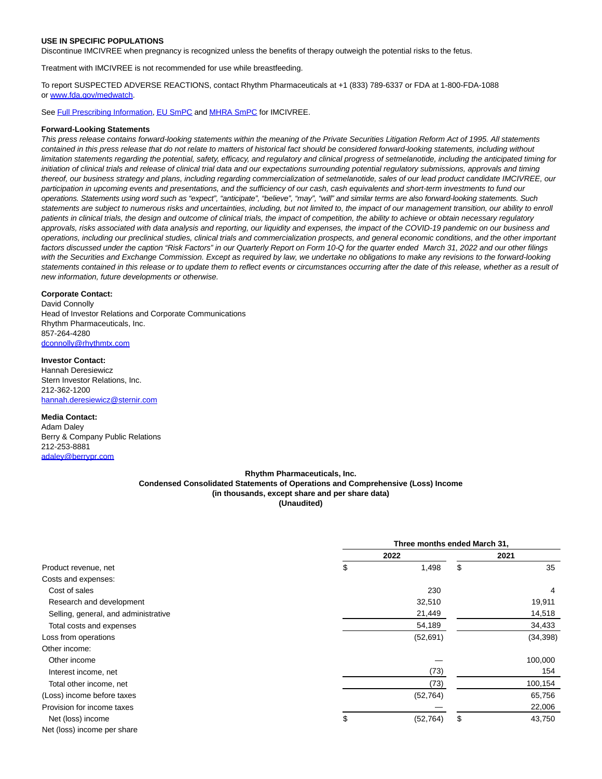#### **USE IN SPECIFIC POPULATIONS**

Discontinue IMCIVREE when pregnancy is recognized unless the benefits of therapy outweigh the potential risks to the fetus.

Treatment with IMCIVREE is not recommended for use while breastfeeding.

To report SUSPECTED ADVERSE REACTIONS, contact Rhythm Pharmaceuticals at +1 (833) 789-6337 or FDA at 1-800-FDA-1088 o[r www.fda.gov/medwatch.](https://www.globenewswire.com/Tracker?data=Ap9tydtPrtqXWqIZR_GfCXFNBvKQCq1jn3P8O1iVQduUIKUfzOjP-VNCXy6K9qWhVW6pxvl7wGRgCRNMtkcQr3hzC5lrJLITo4EEnKDHzj8_U2LP0Q4Wro6v3T0JaNb9cmouCfyoM4lfQMpWc-0uv5oe31InxsCPC3pPgO-ksFWpMmoIhMRzNmhTxHFTOto6)

Se[e Full Prescribing Information,](https://www.globenewswire.com/Tracker?data=Px-OnHzvlsKrfRfwTRxQlimQR66DNLdfyCu3CeqCC4QTGA9BGBso2Tbl_NZTzdTbiG8l2KA6THZaafDlgrU5Ep3Yee4U-vcbsjUh5qohfv_BRCaa9MyuqADnnvHrWNCouBJC2awW2OjQHyQ5HmCpog==) [EU SmPC a](https://www.globenewswire.com/Tracker?data=vdMNkFSaPeD_AzKDCBy8k438WmOnHHWMLZ4wQhTnVkKlkBMXQqJv9G9BKLgMSPusnl_0jFXSxTufHIdcFIMtSWpJy3abIBf9I6FAL3MWbG7IQayxCjNSwCr-PU6lNGxXlfR42HBaKrs1kNME35VJpJcPVUh-yqF1Ecl9KxTII9_j9dFvRAlQXBBfFoJICyn5)n[d MHRA SmPC f](https://www.globenewswire.com/Tracker?data=eBPtUZCZKolg3howfGKhvYueqftF83DTIlYk5Fd_I4B2yO7rmw2exjNKgpWHh9zAsKCnjaDivzD_KvzKgfBYXw==)or IMCIVREE.

#### **Forward-Looking Statements**

This press release contains forward-looking statements within the meaning of the Private Securities Litigation Reform Act of 1995. All statements contained in this press release that do not relate to matters of historical fact should be considered forward-looking statements, including without limitation statements regarding the potential, safety, efficacy, and regulatory and clinical progress of setmelanotide, including the anticipated timing for initiation of clinical trials and release of clinical trial data and our expectations surrounding potential regulatory submissions, approvals and timing thereof, our business strategy and plans, including regarding commercialization of setmelanotide, sales of our lead product candidate IMCIVREE, our participation in upcoming events and presentations, and the sufficiency of our cash, cash equivalents and short-term investments to fund our operations. Statements using word such as "expect", "anticipate", "believe", "may", "will" and similar terms are also forward-looking statements. Such statements are subject to numerous risks and uncertainties, including, but not limited to, the impact of our management transition, our ability to enroll patients in clinical trials, the design and outcome of clinical trials, the impact of competition, the ability to achieve or obtain necessary regulatory approvals, risks associated with data analysis and reporting, our liquidity and expenses, the impact of the COVID-19 pandemic on our business and operations, including our preclinical studies, clinical trials and commercialization prospects, and general economic conditions, and the other important factors discussed under the caption "Risk Factors" in our Quarterly Report on Form 10-Q for the quarter ended March 31, 2022 and our other filings with the Securities and Exchange Commission. Except as required by law, we undertake no obligations to make any revisions to the forward-looking statements contained in this release or to update them to reflect events or circumstances occurring after the date of this release, whether as a result of new information, future developments or otherwise.

## **Corporate Contact:**

David Connolly Head of Investor Relations and Corporate Communications Rhythm Pharmaceuticals, Inc. 857-264-4280 [dconnolly@rhythmtx.com](https://www.globenewswire.com/Tracker?data=pffIMIcQGvOQOzndVwPmq3Z4epUmfs4WzLgqBqrl4hgqfbr5_4zbpPrObV7uD3EPsiBzhjIjGlELPA4WgoITd2J6c21P2C9MX0RFYoVjDu0=)

**Investor Contact:** Hannah Deresiewicz Stern Investor Relations, Inc. 212-362-1200 [hannah.deresiewicz@sternir.com](https://www.globenewswire.com/Tracker?data=NfR4NYrPdmE3hdiKa_SkorIC-lK48SXw0KVylGj-bgmom-dIQ3J4zCTfpvIuoBEc-7m3dCQHk3MxiAzPKKGRrhcsMo4LKzsTqSG0FqU1Re7zTr1QbQF9Ca6Z3vYTnhRT)

#### **Media Contact:**

Adam Daley Berry & Company Public Relations 212-253-8881 [adaley@berrypr.com](https://www.globenewswire.com/Tracker?data=rZ-VmyqQel2mtQ8WubW7PeUQEP2EZ7NSNFYfikD2beWIPvOA3mhSiKS40htoYog1NjCESQStrdIOgICha-pm2JOB5SmjV31kEts9nVIVUjs=)

#### **Rhythm Pharmaceuticals, Inc. Condensed Consolidated Statements of Operations and Comprehensive (Loss) Income (in thousands, except share and per share data) (Unaudited)**

|                                      | Three months ended March 31, |    |           |  |
|--------------------------------------|------------------------------|----|-----------|--|
| Product revenue, net                 | 2022                         |    | 2021      |  |
|                                      | \$<br>1,498                  | \$ | 35        |  |
| Costs and expenses:                  |                              |    |           |  |
| Cost of sales                        | 230                          |    | 4         |  |
| Research and development             | 32,510                       |    | 19,911    |  |
| Selling, general, and administrative | 21,449                       |    | 14,518    |  |
| Total costs and expenses             | 54,189                       |    | 34,433    |  |
| Loss from operations                 | (52, 691)                    |    | (34, 398) |  |
| Other income:                        |                              |    |           |  |
| Other income                         |                              |    | 100,000   |  |
| Interest income, net                 | (73)                         |    | 154       |  |
| Total other income, net              | (73)                         |    | 100,154   |  |
| (Loss) income before taxes           | (52, 764)                    |    | 65,756    |  |
| Provision for income taxes           |                              |    | 22,006    |  |
| Net (loss) income                    | \$<br>(52, 764)              | \$ | 43,750    |  |
| Net (loss) income per share          |                              |    |           |  |